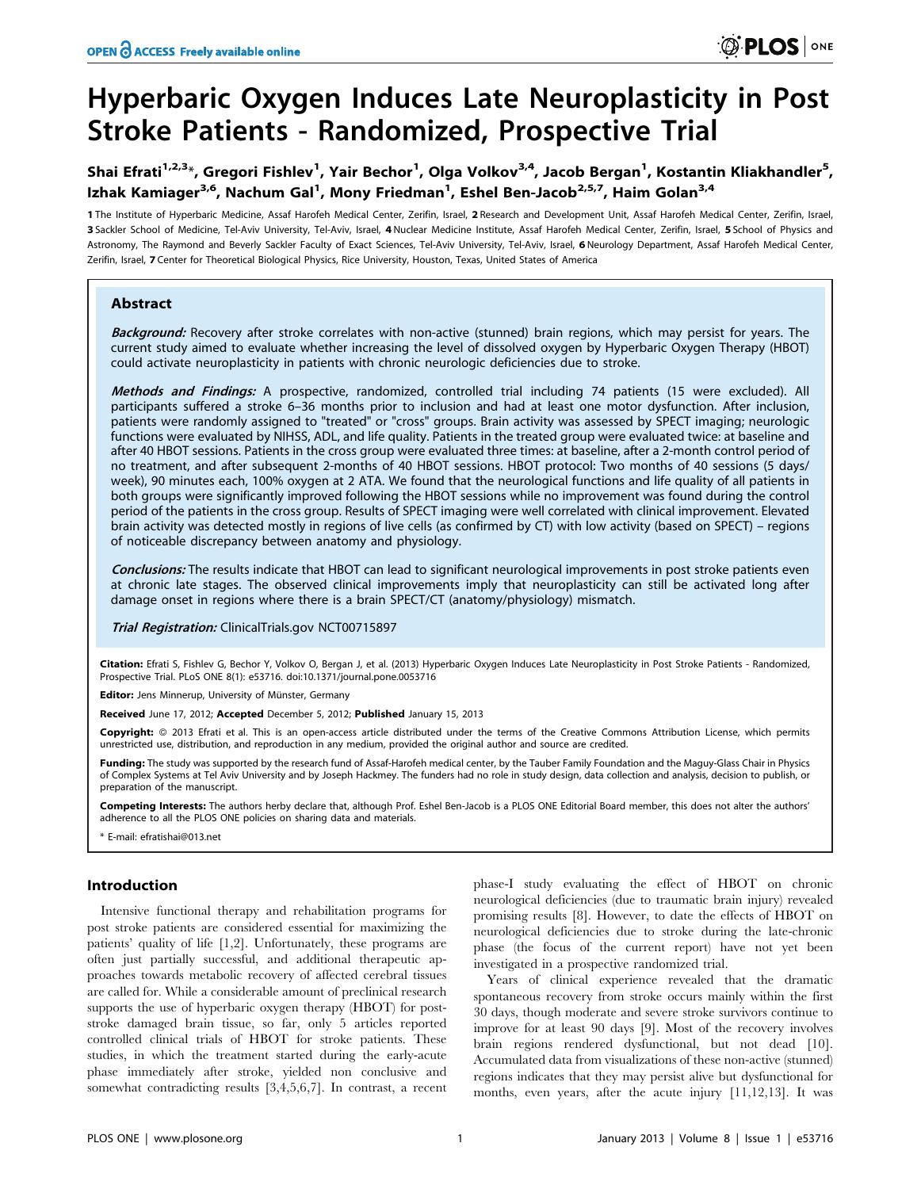# Hyperbaric Oxygen Induces Late Neuroplasticity in Post Stroke Patients - Randomized, Prospective Trial

# Shai Efrati<sup>1,2,3</sup>\*, Gregori Fishlev<sup>1</sup>, Yair Bechor<sup>1</sup>, Olga Volkov<sup>3,4</sup>, Jacob Bergan<sup>1</sup>, Kostantin Kliakhandler<sup>5</sup>, Izhak Kamiager<sup>3,6</sup>, Nachum Gal<sup>1</sup>, Mony Friedman<sup>1</sup>, Eshel Ben-Jacob<sup>2,5,7</sup>, Haim Golan<sup>3,4</sup>

1 The Institute of Hyperbaric Medicine, Assaf Harofeh Medical Center, Zerifin, Israel, 2 Research and Development Unit, Assaf Harofeh Medical Center, Zerifin, Israel, 3 Sackler School of Medicine, Tel-Aviv University, Tel-Aviv, Israel, 4 Nuclear Medicine Institute, Assaf Harofeh Medical Center, Zerifin, Israel, 5 School of Physics and Astronomy, The Raymond and Beverly Sackler Faculty of Exact Sciences, Tel-Aviv University, Tel-Aviv, Israel, 6 Neurology Department, Assaf Harofeh Medical Center, Zerifin, Israel, 7 Center for Theoretical Biological Physics, Rice University, Houston, Texas, United States of America

# Abstract

Background: Recovery after stroke correlates with non-active (stunned) brain regions, which may persist for years. The current study aimed to evaluate whether increasing the level of dissolved oxygen by Hyperbaric Oxygen Therapy (HBOT) could activate neuroplasticity in patients with chronic neurologic deficiencies due to stroke.

Methods and Findings: A prospective, randomized, controlled trial including 74 patients (15 were excluded). All participants suffered a stroke 6–36 months prior to inclusion and had at least one motor dysfunction. After inclusion, patients were randomly assigned to "treated" or "cross" groups. Brain activity was assessed by SPECT imaging; neurologic functions were evaluated by NIHSS, ADL, and life quality. Patients in the treated group were evaluated twice: at baseline and after 40 HBOT sessions. Patients in the cross group were evaluated three times: at baseline, after a 2-month control period of no treatment, and after subsequent 2-months of 40 HBOT sessions. HBOT protocol: Two months of 40 sessions (5 days/ week), 90 minutes each, 100% oxygen at 2 ATA. We found that the neurological functions and life quality of all patients in both groups were significantly improved following the HBOT sessions while no improvement was found during the control period of the patients in the cross group. Results of SPECT imaging were well correlated with clinical improvement. Elevated brain activity was detected mostly in regions of live cells (as confirmed by CT) with low activity (based on SPECT) – regions of noticeable discrepancy between anatomy and physiology.

Conclusions: The results indicate that HBOT can lead to significant neurological improvements in post stroke patients even at chronic late stages. The observed clinical improvements imply that neuroplasticity can still be activated long after damage onset in regions where there is a brain SPECT/CT (anatomy/physiology) mismatch.

Trial Registration: ClinicalTrials.gov [NCT00715897](http://clinicaltrials.gov/ct2/show/NCT00715897)

Citation: Efrati S, Fishlev G, Bechor Y, Volkov O, Bergan J, et al. (2013) Hyperbaric Oxygen Induces Late Neuroplasticity in Post Stroke Patients - Randomized, Prospective Trial. PLoS ONE 8(1): e53716. doi:10.1371/journal.pone.0053716

Editor: Jens Minnerup, University of Münster, Germany

Received June 17, 2012; Accepted December 5, 2012; Published January 15, 2013

Copyright: © 2013 Efrati et al. This is an open-access article distributed under the terms of the Creative Commons Attribution License, which permits unrestricted use, distribution, and reproduction in any medium, provided the original author and source are credited.

Funding: The study was supported by the research fund of Assaf-Harofeh medical center, by the Tauber Family Foundation and the Maguy-Glass Chair in Physics of Complex Systems at Tel Aviv University and by Joseph Hackmey. The funders had no role in study design, data collection and analysis, decision to publish, or preparation of the manuscript.

Competing Interests: The authors herby declare that, although Prof. Eshel Ben-Jacob is a PLOS ONE Editorial Board member, this does not alter the authors' adherence to all the PLOS ONE policies on sharing data and materials.

\* E-mail: efratishai@013.net

#### Introduction

Intensive functional therapy and rehabilitation programs for post stroke patients are considered essential for maximizing the patients' quality of life [1,2]. Unfortunately, these programs are often just partially successful, and additional therapeutic approaches towards metabolic recovery of affected cerebral tissues are called for. While a considerable amount of preclinical research supports the use of hyperbaric oxygen therapy (HBOT) for poststroke damaged brain tissue, so far, only 5 articles reported controlled clinical trials of HBOT for stroke patients. These studies, in which the treatment started during the early-acute phase immediately after stroke, yielded non conclusive and somewhat contradicting results [3,4,5,6,7]. In contrast, a recent

phase-I study evaluating the effect of HBOT on chronic neurological deficiencies (due to traumatic brain injury) revealed promising results [8]. However, to date the effects of HBOT on neurological deficiencies due to stroke during the late-chronic phase (the focus of the current report) have not yet been investigated in a prospective randomized trial.

Years of clinical experience revealed that the dramatic spontaneous recovery from stroke occurs mainly within the first 30 days, though moderate and severe stroke survivors continue to improve for at least 90 days [9]. Most of the recovery involves brain regions rendered dysfunctional, but not dead [10]. Accumulated data from visualizations of these non-active (stunned) regions indicates that they may persist alive but dysfunctional for months, even years, after the acute injury [11,12,13]. It was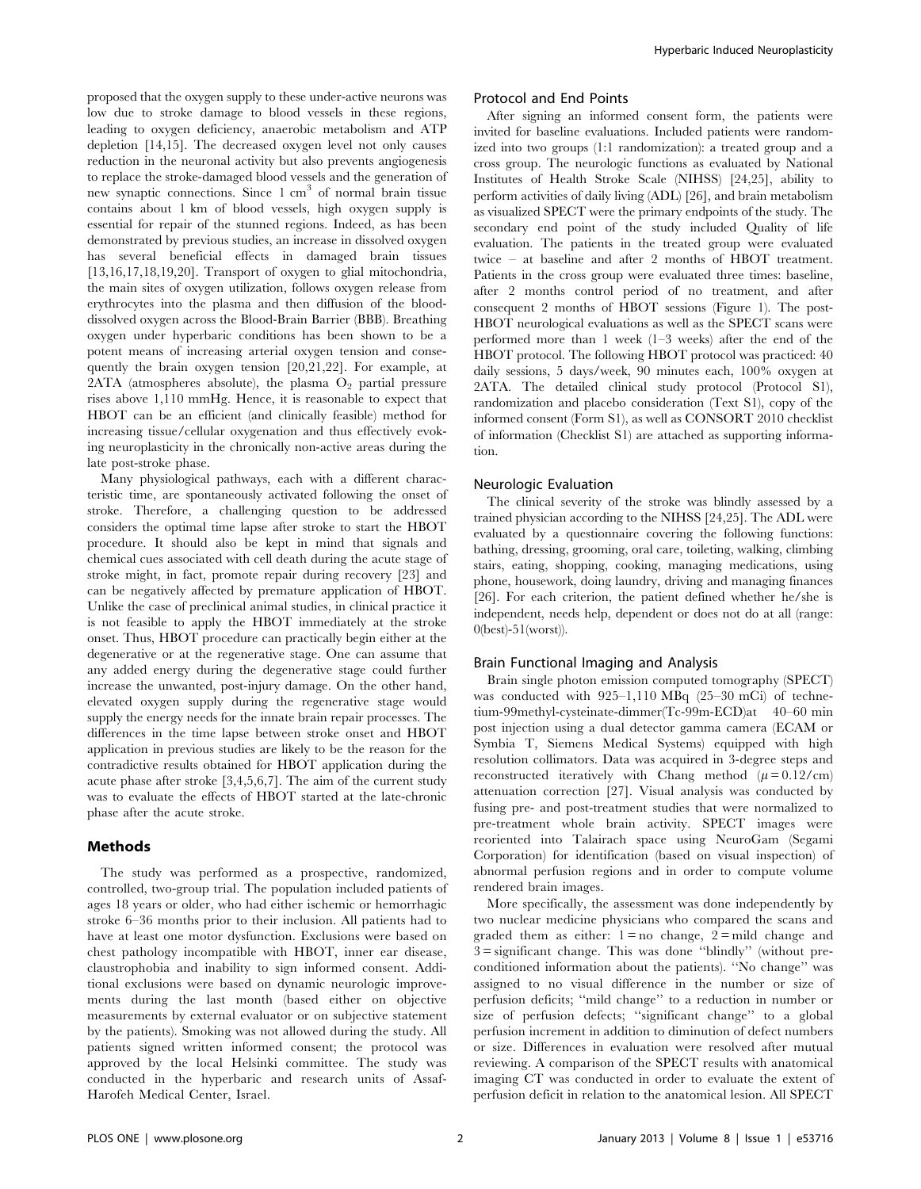proposed that the oxygen supply to these under-active neurons was low due to stroke damage to blood vessels in these regions, leading to oxygen deficiency, anaerobic metabolism and ATP depletion [14,15]. The decreased oxygen level not only causes reduction in the neuronal activity but also prevents angiogenesis to replace the stroke-damaged blood vessels and the generation of new synaptic connections. Since 1 cm<sup>3</sup> of normal brain tissue contains about 1 km of blood vessels, high oxygen supply is essential for repair of the stunned regions. Indeed, as has been demonstrated by previous studies, an increase in dissolved oxygen has several beneficial effects in damaged brain tissues [13,16,17,18,19,20]. Transport of oxygen to glial mitochondria, the main sites of oxygen utilization, follows oxygen release from erythrocytes into the plasma and then diffusion of the blooddissolved oxygen across the Blood-Brain Barrier (BBB). Breathing oxygen under hyperbaric conditions has been shown to be a potent means of increasing arterial oxygen tension and consequently the brain oxygen tension [20,21,22]. For example, at  $2ATA$  (atmospheres absolute), the plasma  $O_2$  partial pressure rises above 1,110 mmHg. Hence, it is reasonable to expect that HBOT can be an efficient (and clinically feasible) method for increasing tissue/cellular oxygenation and thus effectively evoking neuroplasticity in the chronically non-active areas during the late post-stroke phase.

Many physiological pathways, each with a different characteristic time, are spontaneously activated following the onset of stroke. Therefore, a challenging question to be addressed considers the optimal time lapse after stroke to start the HBOT procedure. It should also be kept in mind that signals and chemical cues associated with cell death during the acute stage of stroke might, in fact, promote repair during recovery [23] and can be negatively affected by premature application of HBOT. Unlike the case of preclinical animal studies, in clinical practice it is not feasible to apply the HBOT immediately at the stroke onset. Thus, HBOT procedure can practically begin either at the degenerative or at the regenerative stage. One can assume that any added energy during the degenerative stage could further increase the unwanted, post-injury damage. On the other hand, elevated oxygen supply during the regenerative stage would supply the energy needs for the innate brain repair processes. The differences in the time lapse between stroke onset and HBOT application in previous studies are likely to be the reason for the contradictive results obtained for HBOT application during the acute phase after stroke [3,4,5,6,7]. The aim of the current study was to evaluate the effects of HBOT started at the late-chronic phase after the acute stroke.

# Methods

The study was performed as a prospective, randomized, controlled, two-group trial. The population included patients of ages 18 years or older, who had either ischemic or hemorrhagic stroke 6–36 months prior to their inclusion. All patients had to have at least one motor dysfunction. Exclusions were based on chest pathology incompatible with HBOT, inner ear disease, claustrophobia and inability to sign informed consent. Additional exclusions were based on dynamic neurologic improvements during the last month (based either on objective measurements by external evaluator or on subjective statement by the patients). Smoking was not allowed during the study. All patients signed written informed consent; the protocol was approved by the local Helsinki committee. The study was conducted in the hyperbaric and research units of Assaf-Harofeh Medical Center, Israel.

# Protocol and End Points

After signing an informed consent form, the patients were invited for baseline evaluations. Included patients were randomized into two groups (1:1 randomization): a treated group and a cross group. The neurologic functions as evaluated by National Institutes of Health Stroke Scale (NIHSS) [24,25], ability to perform activities of daily living (ADL) [26], and brain metabolism as visualized SPECT were the primary endpoints of the study. The secondary end point of the study included Quality of life evaluation. The patients in the treated group were evaluated twice – at baseline and after 2 months of HBOT treatment. Patients in the cross group were evaluated three times: baseline, after 2 months control period of no treatment, and after consequent 2 months of HBOT sessions (Figure 1). The post-HBOT neurological evaluations as well as the SPECT scans were performed more than 1 week (1–3 weeks) after the end of the HBOT protocol. The following HBOT protocol was practiced: 40 daily sessions, 5 days/week, 90 minutes each, 100% oxygen at 2ATA. The detailed clinical study protocol (Protocol S1), randomization and placebo consideration (Text S1), copy of the informed consent (Form S1), as well as CONSORT 2010 checklist of information (Checklist S1) are attached as supporting information.

#### Neurologic Evaluation

The clinical severity of the stroke was blindly assessed by a trained physician according to the NIHSS [24,25]. The ADL were evaluated by a questionnaire covering the following functions: bathing, dressing, grooming, oral care, toileting, walking, climbing stairs, eating, shopping, cooking, managing medications, using phone, housework, doing laundry, driving and managing finances [26]. For each criterion, the patient defined whether he/she is independent, needs help, dependent or does not do at all (range: 0(best)-51(worst)).

# Brain Functional Imaging and Analysis

Brain single photon emission computed tomography (SPECT) was conducted with 925–1,110 MBq (25–30 mCi) of technetium-99methyl-cysteinate-dimmer(Tc-99m-ECD)at 40–60 min post injection using a dual detector gamma camera (ECAM or Symbia T, Siemens Medical Systems) equipped with high resolution collimators. Data was acquired in 3-degree steps and reconstructed iteratively with Chang method  $(\mu = 0.12/\text{cm})$ attenuation correction [27]. Visual analysis was conducted by fusing pre- and post-treatment studies that were normalized to pre-treatment whole brain activity. SPECT images were reoriented into Talairach space using NeuroGam (Segami Corporation) for identification (based on visual inspection) of abnormal perfusion regions and in order to compute volume rendered brain images.

More specifically, the assessment was done independently by two nuclear medicine physicians who compared the scans and graded them as either:  $1 = no$  change,  $2 =$ mild change and  $3 =$  significant change. This was done "blindly" (without preconditioned information about the patients). ''No change'' was assigned to no visual difference in the number or size of perfusion deficits; ''mild change'' to a reduction in number or size of perfusion defects; ''significant change'' to a global perfusion increment in addition to diminution of defect numbers or size. Differences in evaluation were resolved after mutual reviewing. A comparison of the SPECT results with anatomical imaging CT was conducted in order to evaluate the extent of perfusion deficit in relation to the anatomical lesion. All SPECT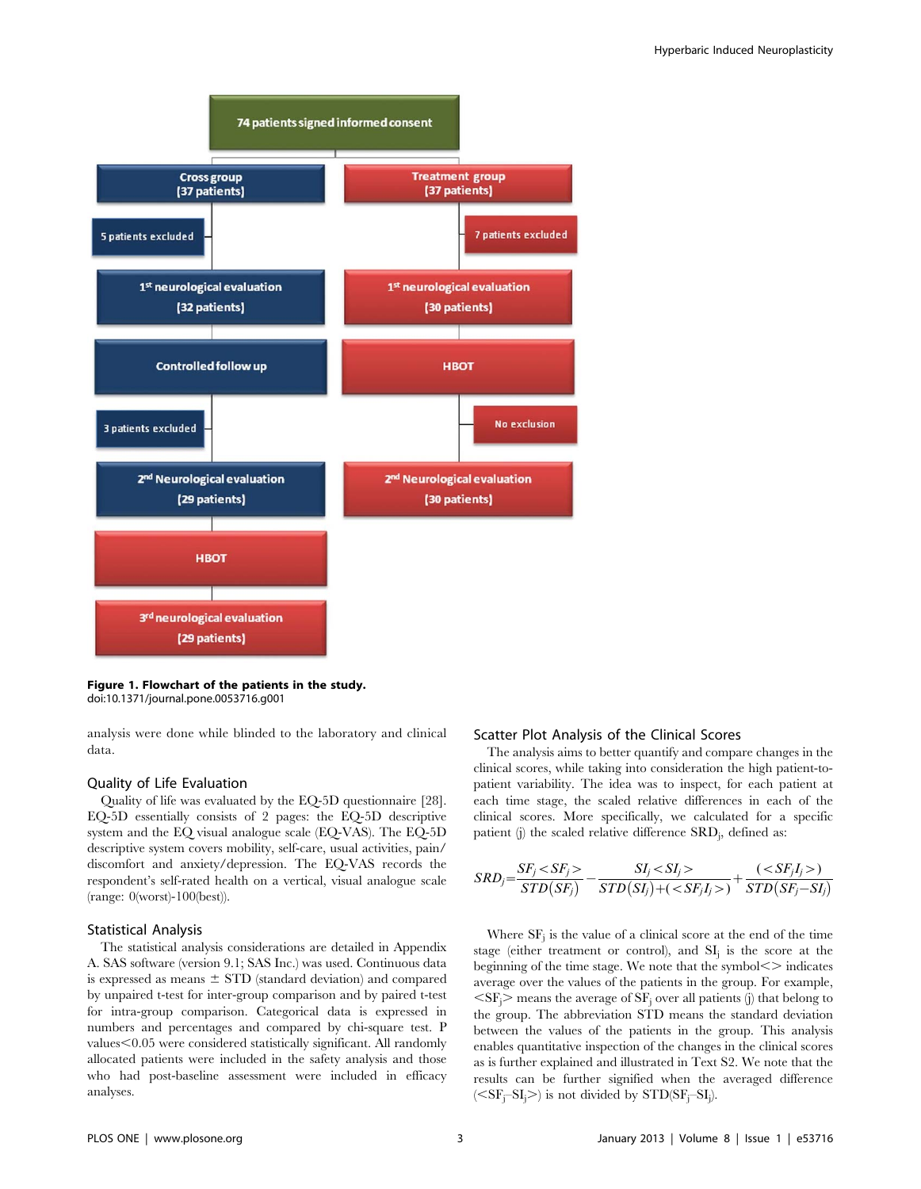

Figure 1. Flowchart of the patients in the study. doi:10.1371/journal.pone.0053716.g001

analysis were done while blinded to the laboratory and clinical data.

#### Quality of Life Evaluation

Quality of life was evaluated by the EQ-5D questionnaire [28]. EQ-5D essentially consists of 2 pages: the EQ-5D descriptive system and the EQ visual analogue scale (EQ-VAS). The EQ-5D descriptive system covers mobility, self-care, usual activities, pain/ discomfort and anxiety/depression. The EQ-VAS records the respondent's self-rated health on a vertical, visual analogue scale (range: 0(worst)-100(best)).

#### Statistical Analysis

The statistical analysis considerations are detailed in Appendix A. SAS software (version 9.1; SAS Inc.) was used. Continuous data is expressed as means  $\pm$  STD (standard deviation) and compared by unpaired t-test for inter-group comparison and by paired t-test for intra-group comparison. Categorical data is expressed in numbers and percentages and compared by chi-square test. P values<0.05 were considered statistically significant. All randomly allocated patients were included in the safety analysis and those who had post-baseline assessment were included in efficacy analyses.

#### Scatter Plot Analysis of the Clinical Scores

The analysis aims to better quantify and compare changes in the clinical scores, while taking into consideration the high patient-topatient variability. The idea was to inspect, for each patient at each time stage, the scaled relative differences in each of the clinical scores. More specifically, we calculated for a specific patient (j) the scaled relative difference SRD<sub>j</sub>, defined as:

$$
SRD_j = \frac{SF_j < SF_j > \qquad SI_j < SI_j > \qquad \qquad \left(\leq SF_j I_j > \right)}{STD(SF_j)} + \frac{SIST_D}{STD(SF_j - SI_j)} + \frac{(="" -="" \right)}{std(sf_j="" i_j="" math="" si_j)}<="">
$$

Where  $SF_i$  is the value of a clinical score at the end of the time stage (either treatment or control), and  $SI_i$  is the score at the beginning of the time stage. We note that the symbol $\le$  indicates average over the values of the patients in the group. For example,  $\langle S F_i \rangle$  means the average of  $S F_i$  over all patients (j) that belong to the group. The abbreviation STD means the standard deviation between the values of the patients in the group. This analysis enables quantitative inspection of the changes in the clinical scores as is further explained and illustrated in Text S2. We note that the results can be further signified when the averaged difference  $(\leq S \mathbf{F}_j - S \mathbf{I}_j)$  is not divided by  $STD(S \mathbf{F}_j - S \mathbf{I}_j)$ .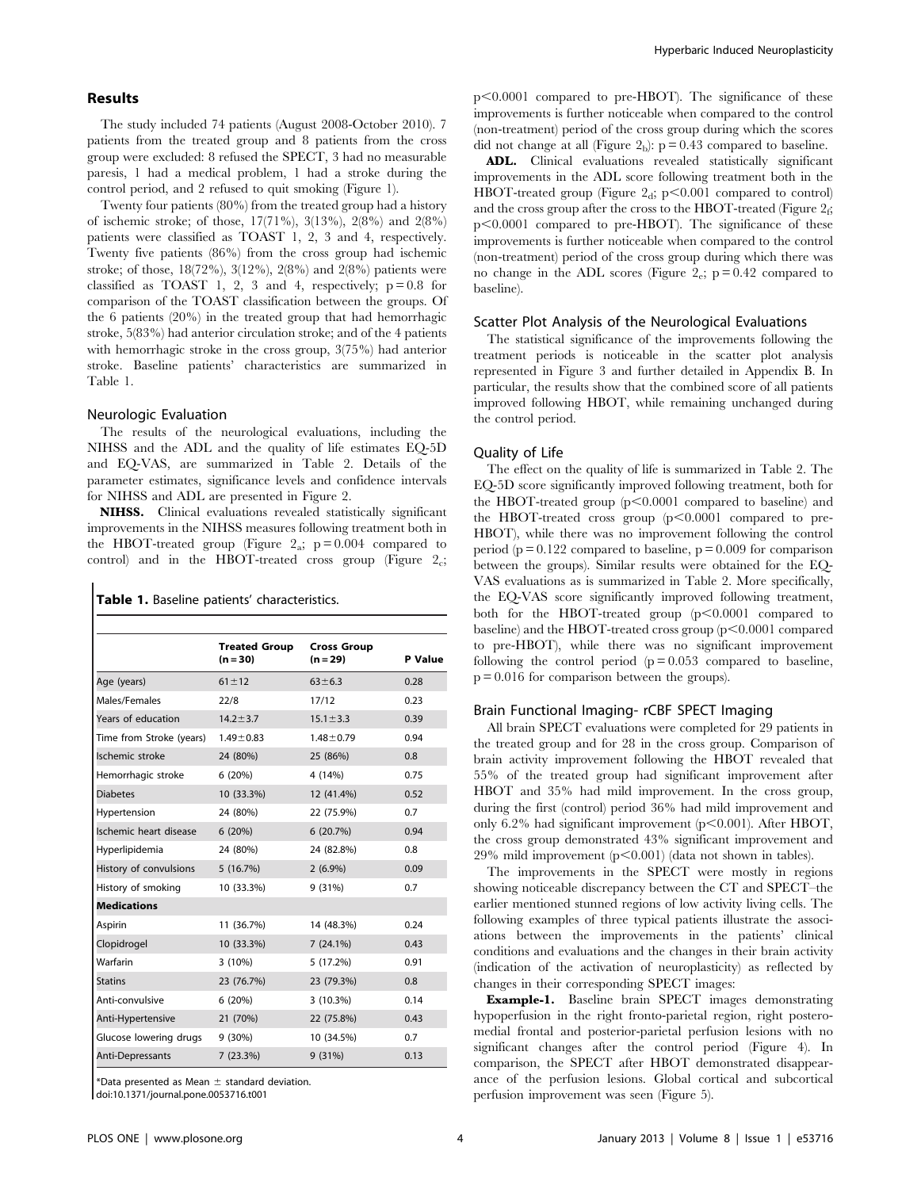# Results

The study included 74 patients (August 2008-October 2010). 7 patients from the treated group and 8 patients from the cross group were excluded: 8 refused the SPECT, 3 had no measurable paresis, 1 had a medical problem, 1 had a stroke during the control period, and 2 refused to quit smoking (Figure 1).

Twenty four patients (80%) from the treated group had a history of ischemic stroke; of those, 17(71%), 3(13%), 2(8%) and 2(8%) patients were classified as TOAST 1, 2, 3 and 4, respectively. Twenty five patients (86%) from the cross group had ischemic stroke; of those, 18(72%), 3(12%), 2(8%) and 2(8%) patients were classified as TOAST 1, 2, 3 and 4, respectively;  $p = 0.8$  for comparison of the TOAST classification between the groups. Of the 6 patients (20%) in the treated group that had hemorrhagic stroke, 5(83%) had anterior circulation stroke; and of the 4 patients with hemorrhagic stroke in the cross group, 3(75%) had anterior stroke. Baseline patients' characteristics are summarized in Table 1.

#### Neurologic Evaluation

The results of the neurological evaluations, including the NIHSS and the ADL and the quality of life estimates EQ-5D and EQ-VAS, are summarized in Table 2. Details of the parameter estimates, significance levels and confidence intervals for NIHSS and ADL are presented in Figure 2.

NIHSS. Clinical evaluations revealed statistically significant improvements in the NIHSS measures following treatment both in the HBOT-treated group (Figure  $2a$ ; p = 0.004 compared to control) and in the HBOT-treated cross group (Figure  $2<sub>c</sub>$ ;

|                          | <b>Treated Group</b><br>$(n = 30)$ | <b>Cross Group</b><br>(n = 29) | P Value |
|--------------------------|------------------------------------|--------------------------------|---------|
| Age (years)              | $61 \pm 12$                        | $63 \pm 6.3$                   | 0.28    |
| Males/Females            | 22/8                               | 17/12                          | 0.23    |
| Years of education       | $14.2 \pm 3.7$                     | $15.1 \pm 3.3$                 | 0.39    |
| Time from Stroke (years) | $1.49 \pm 0.83$                    | $1.48 \pm 0.79$                | 0.94    |
| Ischemic stroke          | 24 (80%)                           | 25 (86%)                       | 0.8     |
| Hemorrhagic stroke       | 6(20%)                             | 4 (14%)                        | 0.75    |
| <b>Diabetes</b>          | 10 (33.3%)                         | 12 (41.4%)                     | 0.52    |
| Hypertension             | 24 (80%)                           | 22 (75.9%)                     | 0.7     |
| Ischemic heart disease   | 6(20%)                             | 6(20.7%)                       | 0.94    |
| Hyperlipidemia           | 24 (80%)                           | 24 (82.8%)                     | 0.8     |
| History of convulsions   | 5(16.7%)                           | $2(6.9\%)$                     | 0.09    |
| History of smoking       | 10 (33.3%)                         | 9(31%)                         | 0.7     |
| <b>Medications</b>       |                                    |                                |         |
| Aspirin                  | 11 (36.7%)                         | 14 (48.3%)                     | 0.24    |
| Clopidrogel              | 10 (33.3%)                         | 7(24.1%)                       | 0.43    |
| Warfarin                 | $3(10\%)$                          | 5 (17.2%)                      | 0.91    |
| <b>Statins</b>           | 23 (76.7%)                         | 23 (79.3%)                     | 0.8     |
| Anti-convulsive          | 6(20%)                             | 3(10.3%)                       | 0.14    |
| Anti-Hypertensive        | 21 (70%)                           | 22 (75.8%)                     | 0.43    |
| Glucose lowering drugs   | $9(30\%)$                          | 10 (34.5%)                     | 0.7     |
| Anti-Depressants         | 7(23.3%)                           | 9(31%)                         | 0.13    |

Table 1. Baseline patients' characteristics.

\*Data presented as Mean  $\pm$  standard deviation.

doi:10.1371/journal.pone.0053716.t001

 $p<0.0001$  compared to pre-HBOT). The significance of these improvements is further noticeable when compared to the control (non-treatment) period of the cross group during which the scores did not change at all (Figure  $2<sub>b</sub>$ ): p = 0.43 compared to baseline.

ADL. Clinical evaluations revealed statistically significant improvements in the ADL score following treatment both in the HBOT-treated group (Figure  $2_d$ ; p $\leq 0.001$  compared to control) and the cross group after the cross to the HBOT-treated (Figure  $2<sub>f</sub>$ ;  $p<0.0001$  compared to pre-HBOT). The significance of these improvements is further noticeable when compared to the control (non-treatment) period of the cross group during which there was no change in the ADL scores (Figure  $2e$ ; p = 0.42 compared to baseline).

# Scatter Plot Analysis of the Neurological Evaluations

The statistical significance of the improvements following the treatment periods is noticeable in the scatter plot analysis represented in Figure 3 and further detailed in Appendix B. In particular, the results show that the combined score of all patients improved following HBOT, while remaining unchanged during the control period.

# Quality of Life

The effect on the quality of life is summarized in Table 2. The EQ-5D score significantly improved following treatment, both for the HBOT-treated group  $(p<0.0001$  compared to baseline) and the HBOT-treated cross group  $(p<0.0001$  compared to pre-HBOT), while there was no improvement following the control period ( $p = 0.122$  compared to baseline,  $p = 0.009$  for comparison between the groups). Similar results were obtained for the EQ-VAS evaluations as is summarized in Table 2. More specifically, the EQ-VAS score significantly improved following treatment, both for the HBOT-treated group  $(p<0.0001$  compared to baseline) and the HBOT-treated cross group  $(p<0.0001$  compared to pre-HBOT), while there was no significant improvement following the control period  $(p = 0.053$  compared to baseline,  $p = 0.016$  for comparison between the groups).

#### Brain Functional Imaging- rCBF SPECT Imaging

All brain SPECT evaluations were completed for 29 patients in the treated group and for 28 in the cross group. Comparison of brain activity improvement following the HBOT revealed that 55% of the treated group had significant improvement after HBOT and 35% had mild improvement. In the cross group, during the first (control) period 36% had mild improvement and only 6.2% had significant improvement ( $p<0.001$ ). After HBOT, the cross group demonstrated 43% significant improvement and 29% mild improvement  $(p<0.001)$  (data not shown in tables).

The improvements in the SPECT were mostly in regions showing noticeable discrepancy between the CT and SPECT–the earlier mentioned stunned regions of low activity living cells. The following examples of three typical patients illustrate the associations between the improvements in the patients' clinical conditions and evaluations and the changes in their brain activity (indication of the activation of neuroplasticity) as reflected by changes in their corresponding SPECT images:

Example-1. Baseline brain SPECT images demonstrating hypoperfusion in the right fronto-parietal region, right posteromedial frontal and posterior-parietal perfusion lesions with no significant changes after the control period (Figure 4). In comparison, the SPECT after HBOT demonstrated disappearance of the perfusion lesions. Global cortical and subcortical perfusion improvement was seen (Figure 5).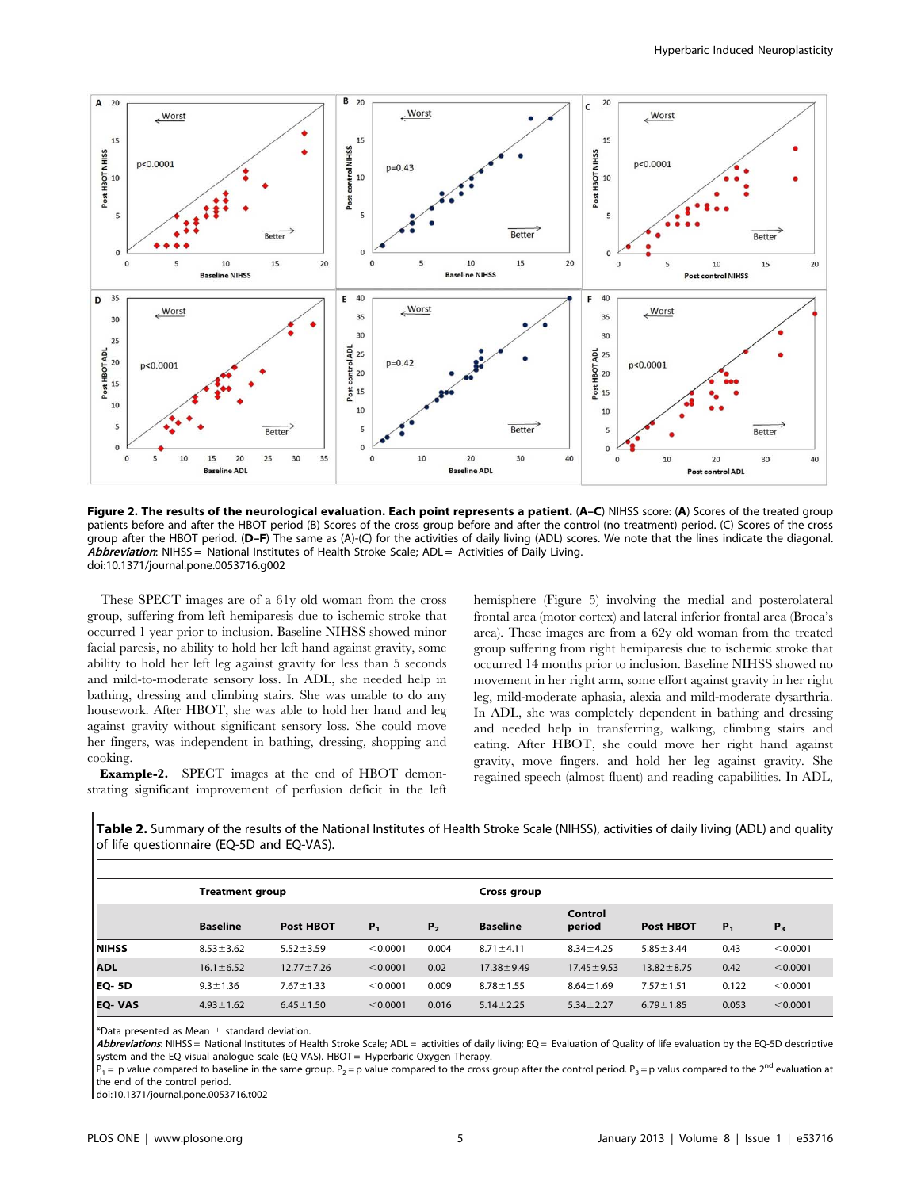

Figure 2. The results of the neurological evaluation. Each point represents a patient. (A-C) NIHSS score: (A) Scores of the treated group patients before and after the HBOT period (B) Scores of the cross group before and after the control (no treatment) period. (C) Scores of the cross group after the HBOT period. (D–F) The same as (A)-(C) for the activities of daily living (ADL) scores. We note that the lines indicate the diagonal. Abbreviation: NIHSS = National Institutes of Health Stroke Scale; ADL = Activities of Daily Living. doi:10.1371/journal.pone.0053716.g002

These SPECT images are of a 61y old woman from the cross group, suffering from left hemiparesis due to ischemic stroke that occurred 1 year prior to inclusion. Baseline NIHSS showed minor facial paresis, no ability to hold her left hand against gravity, some ability to hold her left leg against gravity for less than 5 seconds and mild-to-moderate sensory loss. In ADL, she needed help in bathing, dressing and climbing stairs. She was unable to do any housework. After HBOT, she was able to hold her hand and leg against gravity without significant sensory loss. She could move her fingers, was independent in bathing, dressing, shopping and cooking.

Example-2. SPECT images at the end of HBOT demonstrating significant improvement of perfusion deficit in the left hemisphere (Figure 5) involving the medial and posterolateral frontal area (motor cortex) and lateral inferior frontal area (Broca's area). These images are from a 62y old woman from the treated group suffering from right hemiparesis due to ischemic stroke that occurred 14 months prior to inclusion. Baseline NIHSS showed no movement in her right arm, some effort against gravity in her right leg, mild-moderate aphasia, alexia and mild-moderate dysarthria. In ADL, she was completely dependent in bathing and dressing and needed help in transferring, walking, climbing stairs and eating. After HBOT, she could move her right hand against gravity, move fingers, and hold her leg against gravity. She regained speech (almost fluent) and reading capabilities. In ADL,

Table 2. Summary of the results of the National Institutes of Health Stroke Scale (NIHSS), activities of daily living (ADL) and quality of life questionnaire (EQ-5D and EQ-VAS).

|               | <b>Treatment group</b> |                  |                | Cross group    |                  |                   |                  |                |          |
|---------------|------------------------|------------------|----------------|----------------|------------------|-------------------|------------------|----------------|----------|
|               | <b>Baseline</b>        | <b>Post HBOT</b> | P <sub>1</sub> | P <sub>2</sub> | <b>Baseline</b>  | Control<br>period | Post HBOT        | P <sub>1</sub> | $P_3$    |
| <b>INIHSS</b> | $8.53 \pm 3.62$        | $5.52 \pm 3.59$  | < 0.0001       | 0.004          | $8.71 \pm 4.11$  | $8.34 \pm 4.25$   | $5.85 \pm 3.44$  | 0.43           | < 0.0001 |
| <b>ADL</b>    | $16.1 \pm 6.52$        | $12.77 \pm 7.26$ | < 0.0001       | 0.02           | $17.38 \pm 9.49$ | $17.45 \pm 9.53$  | $13.82 \pm 8.75$ | 0.42           | < 0.0001 |
| <b>EQ-5D</b>  | $9.3 \pm 1.36$         | $7.67 \pm 1.33$  | < 0.0001       | 0.009          | $8.78 \pm 1.55$  | $8.64 \pm 1.69$   | $7.57 \pm 1.51$  | 0.122          | < 0.0001 |
| <b>EQ-VAS</b> | $4.93 \pm 1.62$        | $6.45 \pm 1.50$  | < 0.0001       | 0.016          | $5.14 \pm 2.25$  | $5.34 \pm 2.27$   | $6.79 \pm 1.85$  | 0.053          | < 0.0001 |

 $*$ Data presented as Mean  $\pm$  standard deviation.

Abbreviations: NIHSS = National Institutes of Health Stroke Scale; ADL = activities of daily living; EQ = Evaluation of Quality of life evaluation by the EQ-5D descriptive system and the EQ visual analogue scale (EQ-VAS). HBOT = Hyperbaric Oxygen Therapy.

 $P_1$  = p value compared to baseline in the same group.  $P_2$  = p value compared to the cross group after the control period.  $P_3$  = p valus compared to the 2<sup>nd</sup> evaluation at the end of the control period.

doi:10.1371/journal.pone.0053716.t002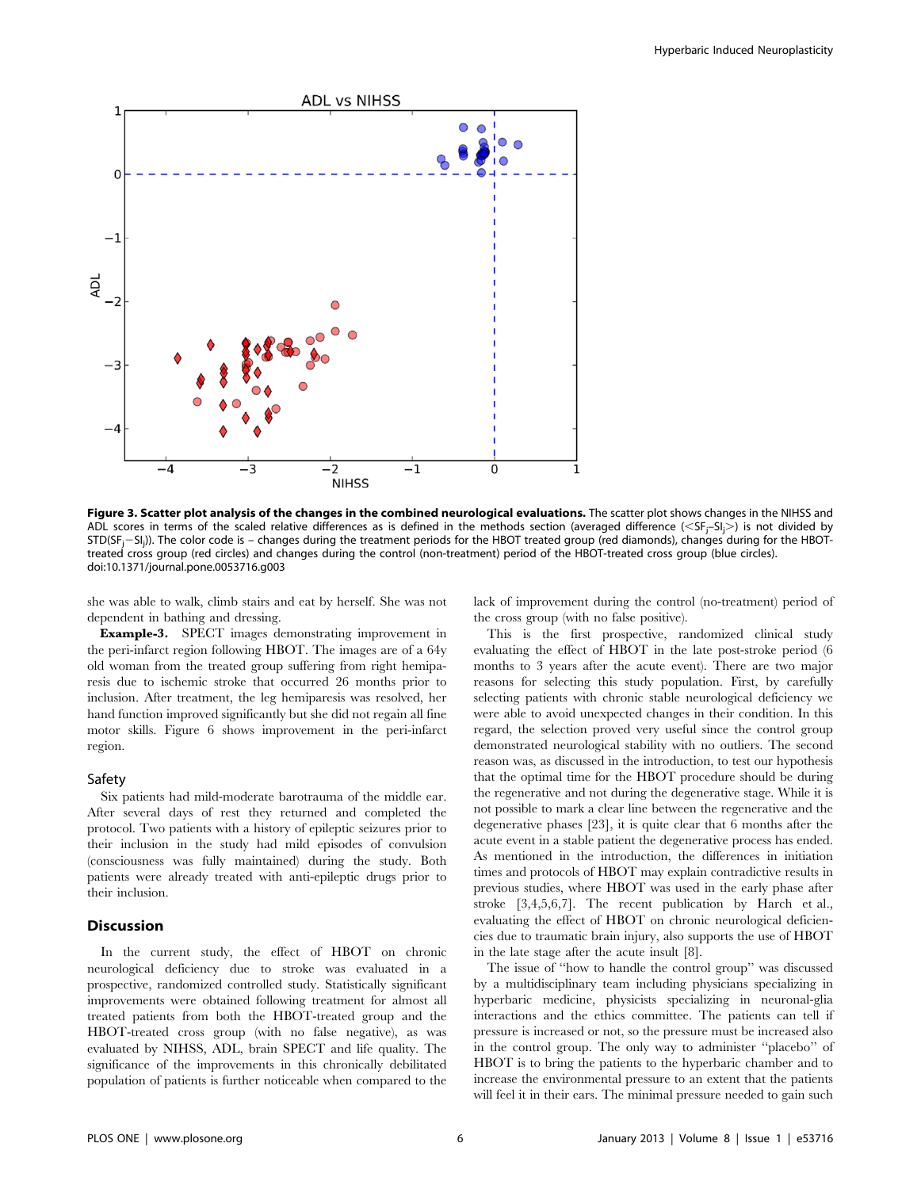

Figure 3. Scatter plot analysis of the changes in the combined neurological evaluations. The scatter plot shows changes in the NIHSS and ADL scores in terms of the scaled relative differences as is defined in the methods section (averaged difference ( $<$ SF $_{\rm j}$ –SI $_{\rm j}$  $>$ ) is not divided by STD(SF $_{\rm j}$ –SI $_{\rm j}$ )). The color code is – changes during the treatment periods for the HBOT treated group (red diamonds), changes during for the HBOTtreated cross group (red circles) and changes during the control (non-treatment) period of the HBOT-treated cross group (blue circles). doi:10.1371/journal.pone.0053716.g003

she was able to walk, climb stairs and eat by herself. She was not dependent in bathing and dressing.

Example-3. SPECT images demonstrating improvement in the peri-infarct region following HBOT. The images are of a 64y old woman from the treated group suffering from right hemiparesis due to ischemic stroke that occurred 26 months prior to inclusion. After treatment, the leg hemiparesis was resolved, her hand function improved significantly but she did not regain all fine motor skills. Figure 6 shows improvement in the peri-infarct region.

#### Safety

Six patients had mild-moderate barotrauma of the middle ear. After several days of rest they returned and completed the protocol. Two patients with a history of epileptic seizures prior to their inclusion in the study had mild episodes of convulsion (consciousness was fully maintained) during the study. Both patients were already treated with anti-epileptic drugs prior to their inclusion.

# Discussion

In the current study, the effect of HBOT on chronic neurological deficiency due to stroke was evaluated in a prospective, randomized controlled study. Statistically significant improvements were obtained following treatment for almost all treated patients from both the HBOT-treated group and the HBOT-treated cross group (with no false negative), as was evaluated by NIHSS, ADL, brain SPECT and life quality. The significance of the improvements in this chronically debilitated population of patients is further noticeable when compared to the lack of improvement during the control (no-treatment) period of the cross group (with no false positive).

This is the first prospective, randomized clinical study evaluating the effect of HBOT in the late post-stroke period (6 months to 3 years after the acute event). There are two major reasons for selecting this study population. First, by carefully selecting patients with chronic stable neurological deficiency we were able to avoid unexpected changes in their condition. In this regard, the selection proved very useful since the control group demonstrated neurological stability with no outliers. The second reason was, as discussed in the introduction, to test our hypothesis that the optimal time for the HBOT procedure should be during the regenerative and not during the degenerative stage. While it is not possible to mark a clear line between the regenerative and the degenerative phases [23], it is quite clear that 6 months after the acute event in a stable patient the degenerative process has ended. As mentioned in the introduction, the differences in initiation times and protocols of HBOT may explain contradictive results in previous studies, where HBOT was used in the early phase after stroke [3,4,5,6,7]. The recent publication by Harch et al., evaluating the effect of HBOT on chronic neurological deficiencies due to traumatic brain injury, also supports the use of HBOT in the late stage after the acute insult [8].

The issue of ''how to handle the control group'' was discussed by a multidisciplinary team including physicians specializing in hyperbaric medicine, physicists specializing in neuronal-glia interactions and the ethics committee. The patients can tell if pressure is increased or not, so the pressure must be increased also in the control group. The only way to administer ''placebo'' of HBOT is to bring the patients to the hyperbaric chamber and to increase the environmental pressure to an extent that the patients will feel it in their ears. The minimal pressure needed to gain such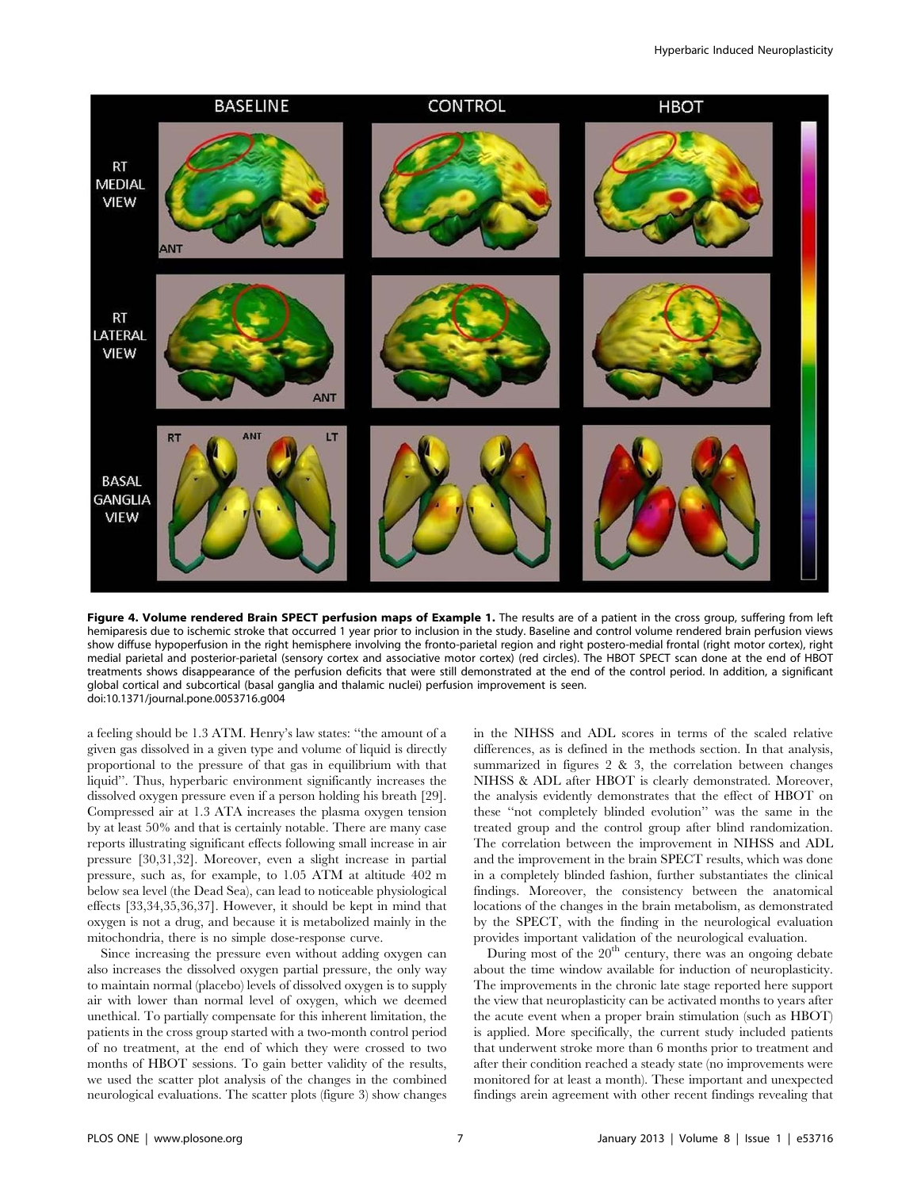

Figure 4. Volume rendered Brain SPECT perfusion maps of Example 1. The results are of a patient in the cross group, suffering from left hemiparesis due to ischemic stroke that occurred 1 year prior to inclusion in the study. Baseline and control volume rendered brain perfusion views show diffuse hypoperfusion in the right hemisphere involving the fronto-parietal region and right postero-medial frontal (right motor cortex), right medial parietal and posterior-parietal (sensory cortex and associative motor cortex) (red circles). The HBOT SPECT scan done at the end of HBOT treatments shows disappearance of the perfusion deficits that were still demonstrated at the end of the control period. In addition, a significant global cortical and subcortical (basal ganglia and thalamic nuclei) perfusion improvement is seen. doi:10.1371/journal.pone.0053716.g004

a feeling should be 1.3 ATM. Henry's law states: ''the amount of a given gas dissolved in a given type and volume of liquid is directly proportional to the pressure of that gas in equilibrium with that liquid''. Thus, hyperbaric environment significantly increases the dissolved oxygen pressure even if a person holding his breath [29]. Compressed air at 1.3 ATA increases the plasma oxygen tension by at least 50% and that is certainly notable. There are many case reports illustrating significant effects following small increase in air pressure [30,31,32]. Moreover, even a slight increase in partial pressure, such as, for example, to 1.05 ATM at altitude 402 m below sea level (the Dead Sea), can lead to noticeable physiological effects [33,34,35,36,37]. However, it should be kept in mind that oxygen is not a drug, and because it is metabolized mainly in the mitochondria, there is no simple dose-response curve.

Since increasing the pressure even without adding oxygen can also increases the dissolved oxygen partial pressure, the only way to maintain normal (placebo) levels of dissolved oxygen is to supply air with lower than normal level of oxygen, which we deemed unethical. To partially compensate for this inherent limitation, the patients in the cross group started with a two-month control period of no treatment, at the end of which they were crossed to two months of HBOT sessions. To gain better validity of the results, we used the scatter plot analysis of the changes in the combined neurological evaluations. The scatter plots (figure 3) show changes

in the NIHSS and ADL scores in terms of the scaled relative differences, as is defined in the methods section. In that analysis, summarized in figures 2 & 3, the correlation between changes NIHSS & ADL after HBOT is clearly demonstrated. Moreover, the analysis evidently demonstrates that the effect of HBOT on these ''not completely blinded evolution'' was the same in the treated group and the control group after blind randomization. The correlation between the improvement in NIHSS and ADL and the improvement in the brain SPECT results, which was done in a completely blinded fashion, further substantiates the clinical findings. Moreover, the consistency between the anatomical locations of the changes in the brain metabolism, as demonstrated by the SPECT, with the finding in the neurological evaluation provides important validation of the neurological evaluation.

During most of the  $20<sup>th</sup>$  century, there was an ongoing debate about the time window available for induction of neuroplasticity. The improvements in the chronic late stage reported here support the view that neuroplasticity can be activated months to years after the acute event when a proper brain stimulation (such as HBOT) is applied. More specifically, the current study included patients that underwent stroke more than 6 months prior to treatment and after their condition reached a steady state (no improvements were monitored for at least a month). These important and unexpected findings arein agreement with other recent findings revealing that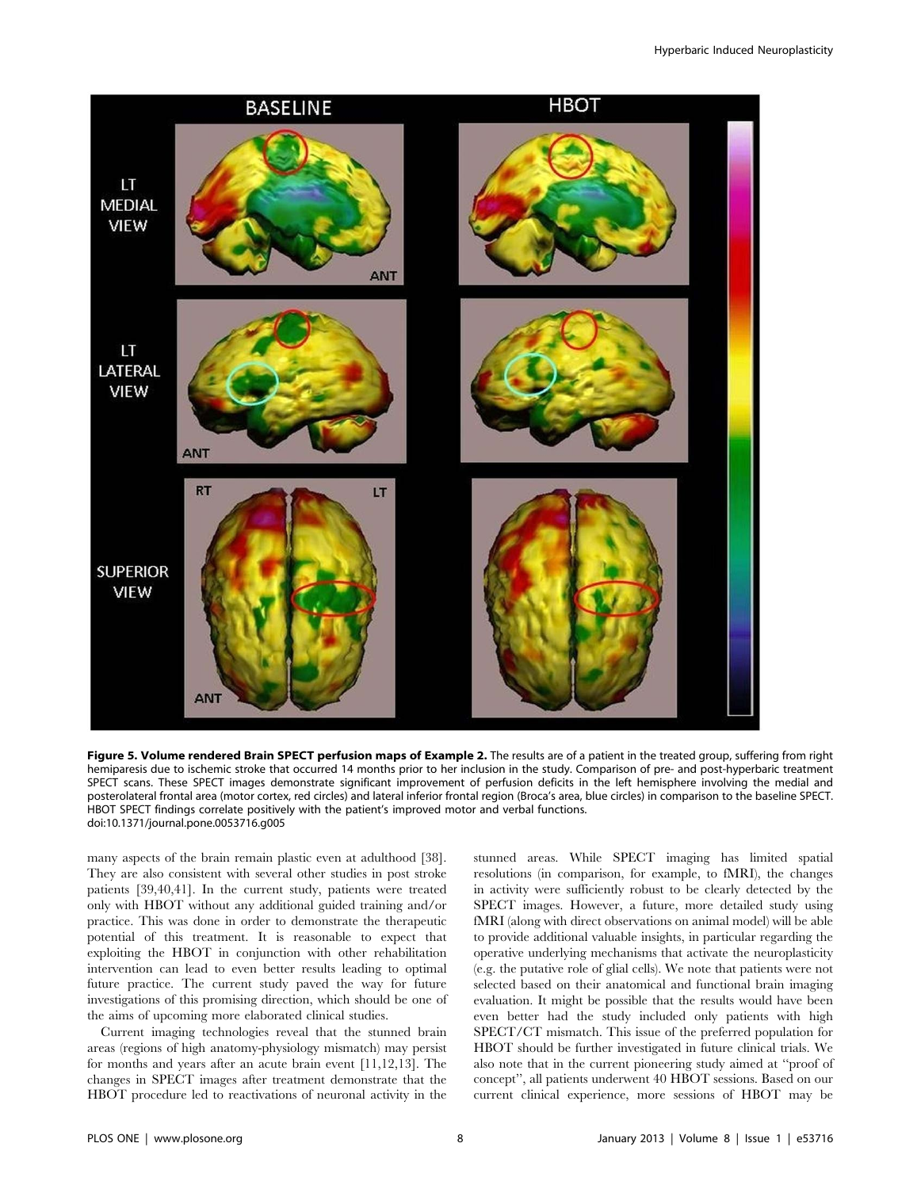

Figure 5. Volume rendered Brain SPECT perfusion maps of Example 2. The results are of a patient in the treated group, suffering from right hemiparesis due to ischemic stroke that occurred 14 months prior to her inclusion in the study. Comparison of pre- and post-hyperbaric treatment SPECT scans. These SPECT images demonstrate significant improvement of perfusion deficits in the left hemisphere involving the medial and posterolateral frontal area (motor cortex, red circles) and lateral inferior frontal region (Broca's area, blue circles) in comparison to the baseline SPECT. HBOT SPECT findings correlate positively with the patient's improved motor and verbal functions. doi:10.1371/journal.pone.0053716.g005

many aspects of the brain remain plastic even at adulthood [38]. They are also consistent with several other studies in post stroke patients [39,40,41]. In the current study, patients were treated only with HBOT without any additional guided training and/or practice. This was done in order to demonstrate the therapeutic potential of this treatment. It is reasonable to expect that exploiting the HBOT in conjunction with other rehabilitation intervention can lead to even better results leading to optimal future practice. The current study paved the way for future investigations of this promising direction, which should be one of the aims of upcoming more elaborated clinical studies.

Current imaging technologies reveal that the stunned brain areas (regions of high anatomy-physiology mismatch) may persist for months and years after an acute brain event [11,12,13]. The changes in SPECT images after treatment demonstrate that the HBOT procedure led to reactivations of neuronal activity in the stunned areas. While SPECT imaging has limited spatial resolutions (in comparison, for example, to fMRI), the changes in activity were sufficiently robust to be clearly detected by the SPECT images. However, a future, more detailed study using fMRI (along with direct observations on animal model) will be able to provide additional valuable insights, in particular regarding the operative underlying mechanisms that activate the neuroplasticity (e.g. the putative role of glial cells). We note that patients were not selected based on their anatomical and functional brain imaging evaluation. It might be possible that the results would have been even better had the study included only patients with high SPECT/CT mismatch. This issue of the preferred population for HBOT should be further investigated in future clinical trials. We also note that in the current pioneering study aimed at ''proof of concept'', all patients underwent 40 HBOT sessions. Based on our current clinical experience, more sessions of HBOT may be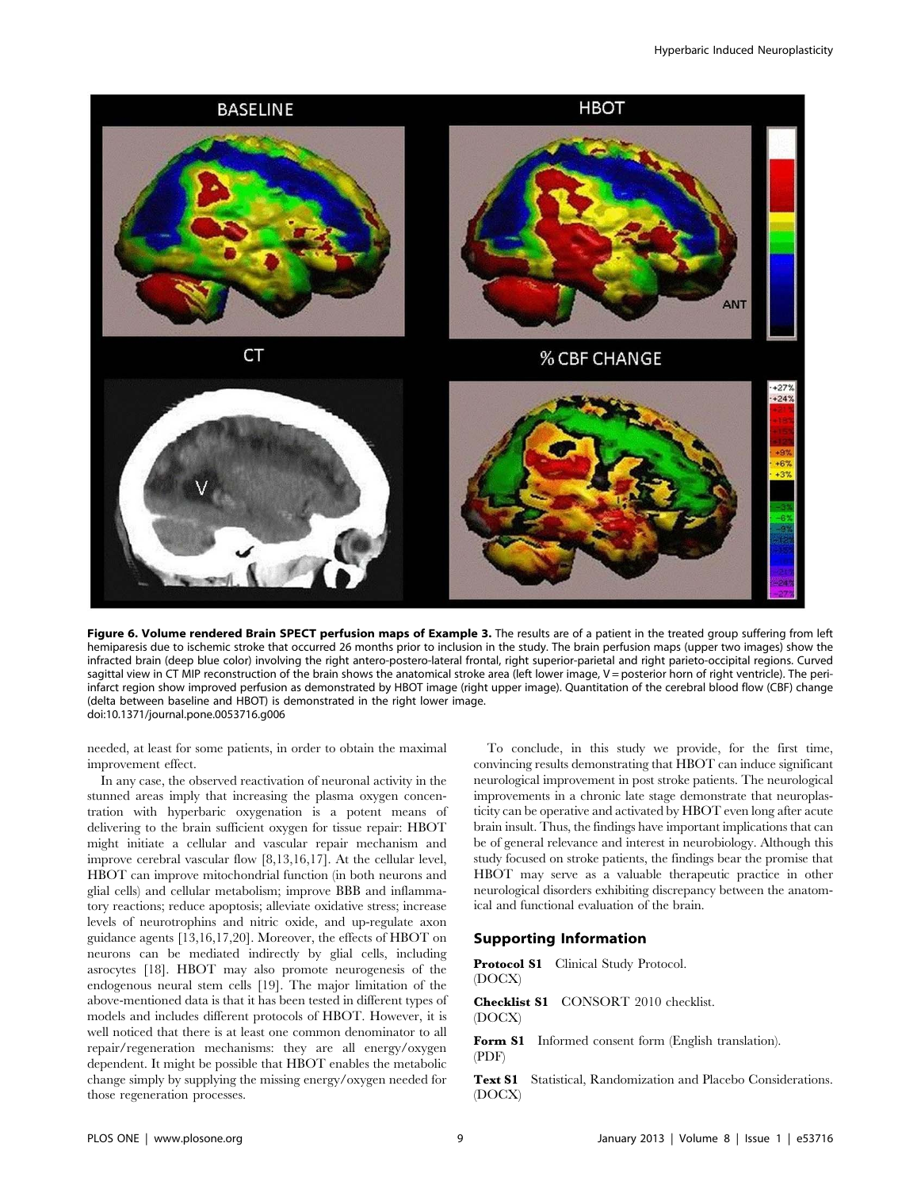

Figure 6. Volume rendered Brain SPECT perfusion maps of Example 3. The results are of a patient in the treated group suffering from left hemiparesis due to ischemic stroke that occurred 26 months prior to inclusion in the study. The brain perfusion maps (upper two images) show the infracted brain (deep blue color) involving the right antero-postero-lateral frontal, right superior-parietal and right parieto-occipital regions. Curved sagittal view in CT MIP reconstruction of the brain shows the anatomical stroke area (left lower image, V = posterior horn of right ventricle). The periinfarct region show improved perfusion as demonstrated by HBOT image (right upper image). Quantitation of the cerebral blood flow (CBF) change (delta between baseline and HBOT) is demonstrated in the right lower image. doi:10.1371/journal.pone.0053716.g006

needed, at least for some patients, in order to obtain the maximal improvement effect.

In any case, the observed reactivation of neuronal activity in the stunned areas imply that increasing the plasma oxygen concentration with hyperbaric oxygenation is a potent means of delivering to the brain sufficient oxygen for tissue repair: HBOT might initiate a cellular and vascular repair mechanism and improve cerebral vascular flow [8,13,16,17]. At the cellular level, HBOT can improve mitochondrial function (in both neurons and glial cells) and cellular metabolism; improve BBB and inflammatory reactions; reduce apoptosis; alleviate oxidative stress; increase levels of neurotrophins and nitric oxide, and up-regulate axon guidance agents [13,16,17,20]. Moreover, the effects of HBOT on neurons can be mediated indirectly by glial cells, including asrocytes [18]. HBOT may also promote neurogenesis of the endogenous neural stem cells [19]. The major limitation of the above-mentioned data is that it has been tested in different types of models and includes different protocols of HBOT. However, it is well noticed that there is at least one common denominator to all repair/regeneration mechanisms: they are all energy/oxygen dependent. It might be possible that HBOT enables the metabolic change simply by supplying the missing energy/oxygen needed for those regeneration processes.

To conclude, in this study we provide, for the first time, convincing results demonstrating that HBOT can induce significant neurological improvement in post stroke patients. The neurological improvements in a chronic late stage demonstrate that neuroplasticity can be operative and activated by HBOT even long after acute brain insult. Thus, the findings have important implications that can be of general relevance and interest in neurobiology. Although this study focused on stroke patients, the findings bear the promise that HBOT may serve as a valuable therapeutic practice in other neurological disorders exhibiting discrepancy between the anatomical and functional evaluation of the brain.

# Supporting Information

Protocol S1 Clinical Study Protocol. (DOCX)

Checklist S1 CONSORT 2010 checklist. (DOCX)

Form S1 Informed consent form (English translation). (PDF)

Text S1 Statistical, Randomization and Placebo Considerations. (DOCX)